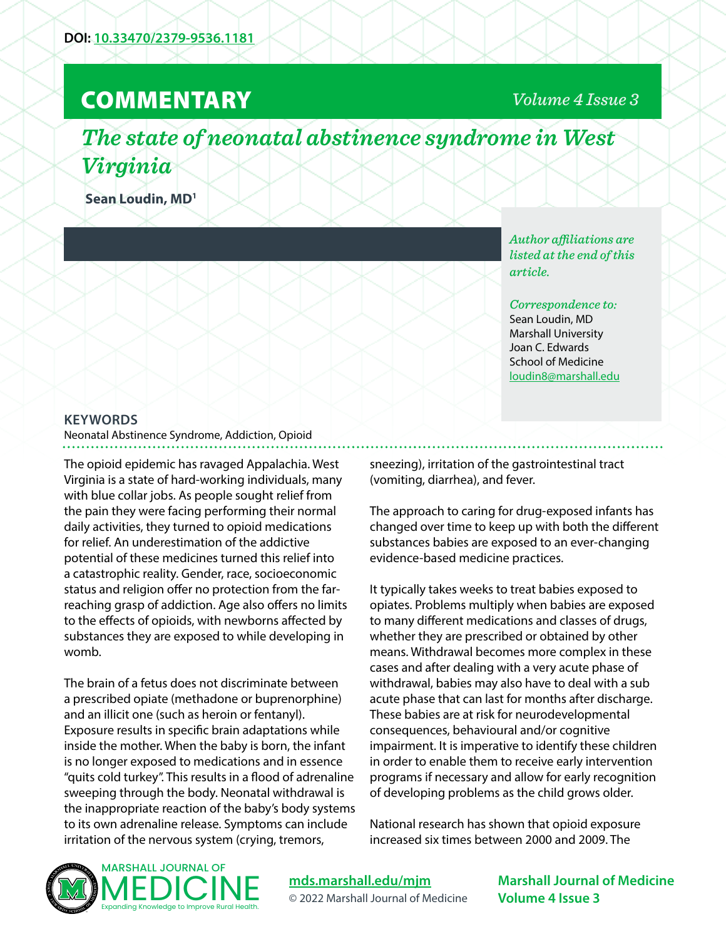# **COMMENTARY**

# *Volume 4 Issue 3*

*The state of neonatal abstinence syndrome in West Virginia*

**Sean Loudin, MD1**

*Author affiliations are listed at the end of this article.* 

*Correspondence to:*  Sean Loudin, MD Marshall University Joan C. Edwards School of Medicine [loudin8@marshall.edu](mailto:loudin8%40marshall.edu?subject=)

#### **KEYWORDS**

Neonatal Abstinence Syndrome, Addiction, Opioid

The opioid epidemic has ravaged Appalachia. West Virginia is a state of hard-working individuals, many with blue collar jobs. As people sought relief from the pain they were facing performing their normal daily activities, they turned to opioid medications for relief. An underestimation of the addictive potential of these medicines turned this relief into a catastrophic reality. Gender, race, socioeconomic status and religion offer no protection from the farreaching grasp of addiction. Age also offers no limits to the effects of opioids, with newborns affected by substances they are exposed to while developing in womb.

The brain of a fetus does not discriminate between a prescribed opiate (methadone or buprenorphine) and an illicit one (such as heroin or fentanyl). Exposure results in specific brain adaptations while inside the mother. When the baby is born, the infant is no longer exposed to medications and in essence "quits cold turkey". This results in a flood of adrenaline sweeping through the body. Neonatal withdrawal is the inappropriate reaction of the baby's body systems to its own adrenaline release. Symptoms can include irritation of the nervous system (crying, tremors,

sneezing), irritation of the gastrointestinal tract (vomiting, diarrhea), and fever.

The approach to caring for drug-exposed infants has changed over time to keep up with both the different substances babies are exposed to an ever-changing evidence-based medicine practices.

It typically takes weeks to treat babies exposed to opiates. Problems multiply when babies are exposed to many different medications and classes of drugs, whether they are prescribed or obtained by other means. Withdrawal becomes more complex in these cases and after dealing with a very acute phase of withdrawal, babies may also have to deal with a sub acute phase that can last for months after discharge. These babies are at risk for neurodevelopmental consequences, behavioural and/or cognitive impairment. It is imperative to identify these children in order to enable them to receive early intervention programs if necessary and allow for early recognition of developing problems as the child grows older.

National research has shown that opioid exposure increased six times between 2000 and 2009. The



**[mds.marshall.edu/mjm](https://mds.marshall.edu/mjm/)** © 2022 Marshall Journal of Medicine

**Marshall Journal of Medicine Volume 4 Issue 3**